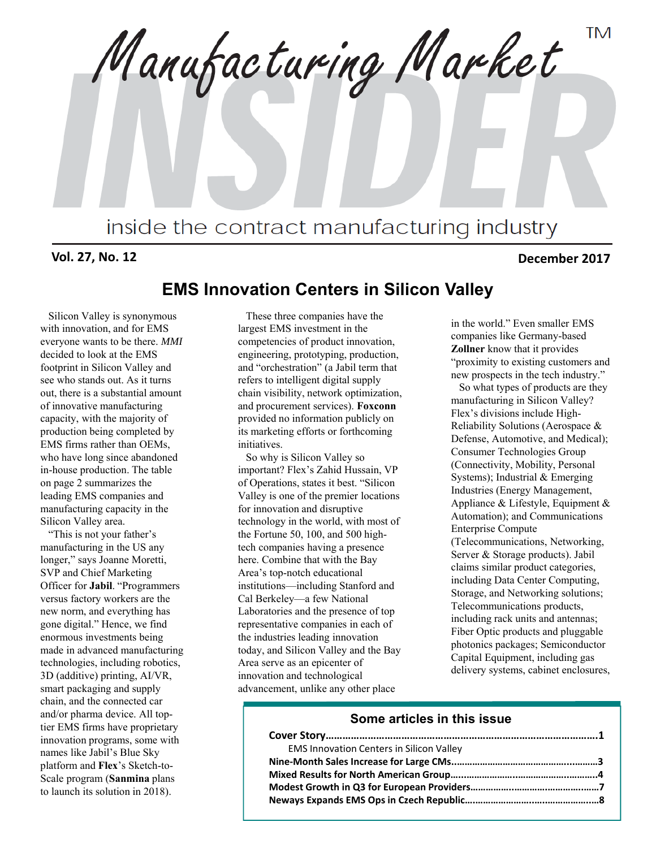**TM** Manufacturing Market inside the contract manufacturing industry

#### **Vol. 27, No. 12 December 2017**

## **EMS Innovation Centers in Silicon Valley**

Silicon Valley is synonymous with innovation, and for EMS everyone wants to be there. *MMI* decided to look at the EMS footprint in Silicon Valley and see who stands out. As it turns out, there is a substantial amount of innovative manufacturing capacity, with the majority of production being completed by EMS firms rather than OEMs, who have long since abandoned in-house production. The table on page 2 summarizes the leading EMS companies and manufacturing capacity in the Silicon Valley area.

"This is not your father's manufacturing in the US any longer," says Joanne Moretti, SVP and Chief Marketing Officer for **Jabil**. "Programmers versus factory workers are the new norm, and everything has gone digital." Hence, we find enormous investments being made in advanced manufacturing technologies, including robotics, 3D (additive) printing, AI/VR, smart packaging and supply chain, and the connected car and/or pharma device. All toptier EMS firms have proprietary innovation programs, some with names like Jabil's Blue Sky platform and **Flex**'s Sketch-to-Scale program (**Sanmina** plans to launch its solution in 2018).

These three companies have the largest EMS investment in the competencies of product innovation, engineering, prototyping, production, and "orchestration" (a Jabil term that refers to intelligent digital supply chain visibility, network optimization, and procurement services). **Foxconn** provided no information publicly on its marketing efforts or forthcoming initiatives.

So why is Silicon Valley so important? Flex's Zahid Hussain, VP of Operations, states it best. "Silicon Valley is one of the premier locations for innovation and disruptive technology in the world, with most of the Fortune 50, 100, and 500 hightech companies having a presence here. Combine that with the Bay Area's top-notch educational institutions—including Stanford and Cal Berkeley—a few National Laboratories and the presence of top representative companies in each of the industries leading innovation today, and Silicon Valley and the Bay Area serve as an epicenter of innovation and technological advancement, unlike any other place

in the world." Even smaller EMS companies like Germany-based **Zollner** know that it provides "proximity to existing customers and new prospects in the tech industry."

So what types of products are they manufacturing in Silicon Valley? Flex's divisions include High-Reliability Solutions (Aerospace & Defense, Automotive, and Medical); Consumer Technologies Group (Connectivity, Mobility, Personal Systems); Industrial & Emerging Industries (Energy Management, Appliance & Lifestyle, Equipment & Automation); and Communications Enterprise Compute (Telecommunications, Networking, Server & Storage products). Jabil claims similar product categories, including Data Center Computing, Storage, and Networking solutions; Telecommunications products, including rack units and antennas; Fiber Optic products and pluggable photonics packages; Semiconductor Capital Equipment, including gas delivery systems, cabinet enclosures,

#### **Some articles in this issue**

| <b>EMS Innovation Centers in Silicon Valley</b> |  |
|-------------------------------------------------|--|
|                                                 |  |
|                                                 |  |
|                                                 |  |
|                                                 |  |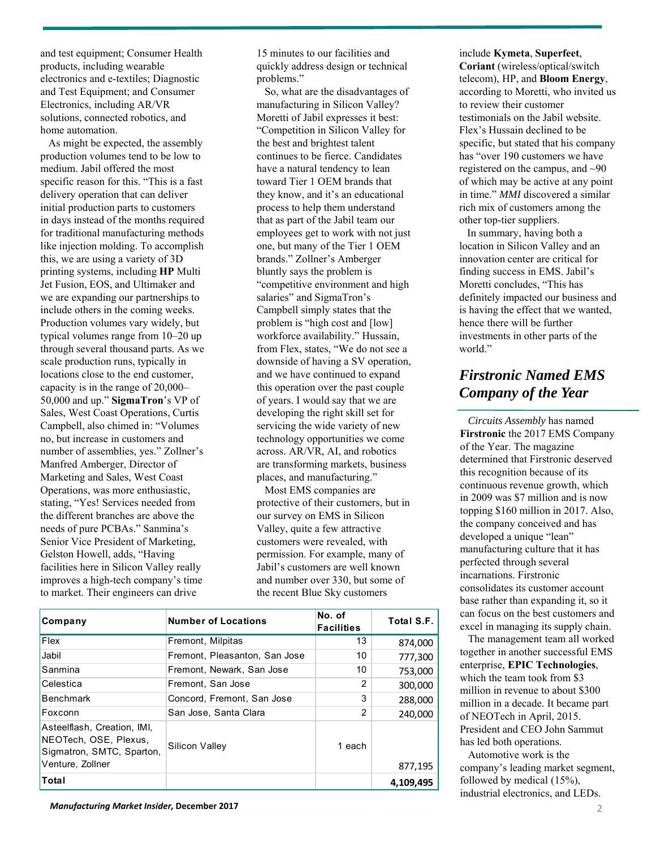and test equipment; Consumer Health products, including wearable electronics and e-textiles; Diagnostic and Test Equipment; and Consumer Electronics, including AR/VR solutions, connected robotics, and home automation.

As might be expected, the assembly production volumes tend to be low to medium. Jabil offered the most specific reason for this. "This is a fast delivery operation that can deliver initial production parts to customers in days instead of the months required for traditional manufacturing methods like injection molding. To accomplish this, we are using a variety of 3D printing systems, including **HP** Multi Jet Fusion, EOS, and Ultimaker and we are expanding our partnerships to include others in the coming weeks. Production volumes vary widely, but typical volumes range from 10–20 up through several thousand parts. As we scale production runs, typically in locations close to the end customer, capacity is in the range of 20,000– 50,000 and up." **SigmaTron**'s VP of Sales, West Coast Operations, Curtis Campbell, also chimed in: "Volumes no, but increase in customers and number of assemblies, yes." Zollner's Manfred Amberger, Director of Marketing and Sales, West Coast Operations, was more enthusiastic, stating, "Yes! Services needed from the different branches are above the needs of pure PCBAs." Sanmina's Senior Vice President of Marketing, Gelston Howell, adds, "Having facilities here in Silicon Valley really improves a high-tech company's time to market. Their engineers can drive

15 minutes to our facilities and quickly address design or technical problems."

So, what are the disadvantages of manufacturing in Silicon Valley? Moretti of Jabil expresses it best: "Competition in Silicon Valley for the best and brightest talent continues to be fierce. Candidates have a natural tendency to lean toward Tier 1 OEM brands that they know, and it's an educational process to help them understand that as part of the Jabil team our employees get to work with not just one, but many of the Tier 1 OEM brands." Zollner's Amberger bluntly says the problem is "competitive environment and high salaries" and SigmaTron's Campbell simply states that the problem is "high cost and [low] workforce availability." Hussain, from Flex, states, "We do not see a downside of having a SV operation, and we have continued to expand this operation over the past couple of years. I would say that we are developing the right skill set for servicing the wide variety of new technology opportunities we come across. AR/VR, AI, and robotics are transforming markets, business places, and manufacturing."

Most EMS companies are protective of their customers, but in our survey on EMS in Silicon Valley, quite a few attractive customers were revealed, with permission. For example, many of Jabil's customers are well known and number over 330, but some of the recent Blue Sky customers

| Company                                                                                               | <b>Number of Locations</b>    | No. of<br><b>Facilities</b> | Total S.F. |
|-------------------------------------------------------------------------------------------------------|-------------------------------|-----------------------------|------------|
| Flex                                                                                                  | Fremont, Milpitas             | 13                          | 874,000    |
| Jabil                                                                                                 | Fremont. Pleasanton. San Jose | 10                          | 777,300    |
| Sanmina                                                                                               | Fremont, Newark, San Jose     | 10                          | 753,000    |
| Celestica                                                                                             | Fremont, San Jose             | 2                           | 300,000    |
| <b>Benchmark</b>                                                                                      | Concord, Fremont, San Jose    | 3                           | 288,000    |
| Foxconn                                                                                               | San Jose, Santa Clara         | 2                           | 240,000    |
| Asteelflash, Creation, IMI,<br>NEOTech, OSE, Plexus,<br>Sigmatron, SMTC, Sparton,<br>Venture, Zollner | Silicon Valley                | 1 each                      | 877,195    |
| Total                                                                                                 |                               |                             | 4,109,495  |

include **Kymeta**, **Superfeet**, **Coriant** (wireless/optical/switch telecom), HP, and **Bloom Energy**, according to Moretti, who invited us to review their customer testimonials on the Jabil website. Flex's Hussain declined to be specific, but stated that his company has "over 190 customers we have registered on the campus, and ~90 of which may be active at any point in time." *MMI* discovered a similar rich mix of customers among the other top-tier suppliers.

In summary, having both a location in Silicon Valley and an innovation center are critical for finding success in EMS. Jabil's Moretti concludes, "This has definitely impacted our business and is having the effect that we wanted, hence there will be further investments in other parts of the world."

# *Firstronic Named EMS Company of the Year*

*Circuits Assembly* has named **Firstronic** the 2017 EMS Company of the Year. The magazine determined that Firstronic deserved this recognition because of its continuous revenue growth, which in 2009 was \$7 million and is now topping \$160 million in 2017. Also, the company conceived and has developed a unique "lean" manufacturing culture that it has perfected through several incarnations. Firstronic consolidates its customer account base rather than expanding it, so it can focus on the best customers and excel in managing its supply chain.

The management team all worked together in another successful EMS enterprise, **EPIC Technologies**, which the team took from \$3 million in revenue to about \$300 million in a decade. It became part of NEOTech in April, 2015. President and CEO John Sammut has led both operations.

Automotive work is the company's leading market segment, followed by medical (15%), industrial electronics, and LEDs.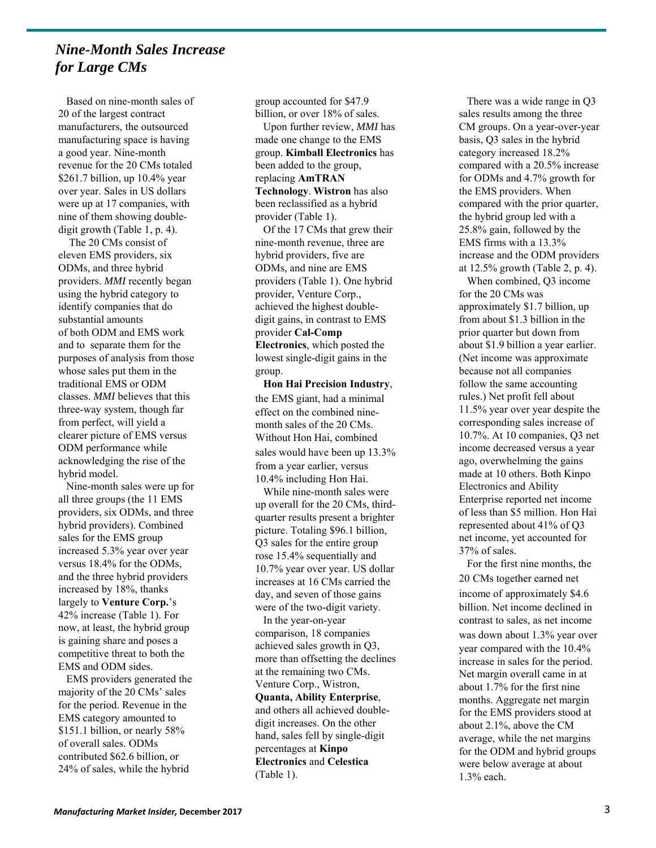#### *Nine-Month Sales Increase for Large CMs*

Based on nine-month sales of 20 of the largest contract manufacturers, the outsourced manufacturing space is having a good year. Nine-month revenue for the 20 CMs totaled \$261.7 billion, up 10.4% year over year. Sales in US dollars were up at 17 companies, with nine of them showing doubledigit growth (Table 1, p. 4).

The 20 CMs consist of eleven EMS providers, six ODMs, and three hybrid providers. *MMI* recently began using the hybrid category to identify companies that do substantial amounts of both ODM and EMS work and to separate them for the purposes of analysis from those whose sales put them in the traditional EMS or ODM classes. *MMI* believes that this three-way system, though far from perfect, will yield a clearer picture of EMS versus ODM performance while acknowledging the rise of the hybrid model.

Nine-month sales were up for all three groups (the 11 EMS providers, six ODMs, and three hybrid providers). Combined sales for the EMS group increased 5.3% year over year versus 18.4% for the ODMs, and the three hybrid providers increased by 18%, thanks largely to **Venture Corp.**'s 42% increase (Table 1). For now, at least, the hybrid group is gaining share and poses a competitive threat to both the EMS and ODM sides.

EMS providers generated the majority of the 20 CMs' sales for the period. Revenue in the EMS category amounted to \$151.1 billion, or nearly 58% of overall sales. ODMs contributed \$62.6 billion, or 24% of sales, while the hybrid

group accounted for \$47.9

billion, or over 18% of sales. Upon further review, *MMI* has made one change to the EMS group. **Kimball Electronics** has been added to the group, replacing **AmTRAN Technology**. **Wistron** has also been reclassified as a hybrid provider (Table 1).

Of the 17 CMs that grew their nine-month revenue, three are hybrid providers, five are ODMs, and nine are EMS providers (Table 1). One hybrid provider, Venture Corp., achieved the highest doubledigit gains, in contrast to EMS provider **Cal-Comp Electronics**, which posted the lowest single-digit gains in the group.

**Hon Hai Precision Industry**, the EMS giant, had a minimal effect on the combined ninemonth sales of the 20 CMs. Without Hon Hai, combined sales would have been up 13.3% from a year earlier, versus 10.4% including Hon Hai.

While nine-month sales were up overall for the 20 CMs, thirdquarter results present a brighter picture. Totaling \$96.1 billion, Q3 sales for the entire group rose 15.4% sequentially and 10.7% year over year. US dollar increases at 16 CMs carried the day, and seven of those gains were of the two-digit variety.

In the year-on-year comparison, 18 companies achieved sales growth in Q3, more than offsetting the declines at the remaining two CMs. Venture Corp., Wistron, **Quanta, Ability Enterprise**, and others all achieved doubledigit increases. On the other hand, sales fell by single-digit

percentages at **Kinpo Electronics** and **Celestica** (Table 1).

There was a wide range in Q3 sales results among the three CM groups. On a year-over-year basis, Q3 sales in the hybrid category increased 18.2% compared with a 20.5% increase for ODMs and 4.7% growth for the EMS providers. When compared with the prior quarter, the hybrid group led with a 25.8% gain, followed by the EMS firms with a 13.3% increase and the ODM providers at 12.5% growth (Table 2, p. 4).

When combined, Q3 income for the 20 CMs was approximately \$1.7 billion, up from about \$1.3 billion in the prior quarter but down from about \$1.9 billion a year earlier. (Net income was approximate because not all companies follow the same accounting rules.) Net profit fell about 11.5% year over year despite the corresponding sales increase of 10.7%. At 10 companies, Q3 net income decreased versus a year ago, overwhelming the gains made at 10 others. Both Kinpo Electronics and Ability Enterprise reported net income of less than \$5 million. Hon Hai represented about 41% of Q3 net income, yet accounted for 37% of sales.

For the first nine months, the 20 CMs together earned net income of approximately \$4.6 billion. Net income declined in contrast to sales, as net income was down about 1.3% year over year compared with the 10.4% increase in sales for the period. Net margin overall came in at about 1.7% for the first nine months. Aggregate net margin for the EMS providers stood at about 2.1%, above the CM average, while the net margins for the ODM and hybrid groups were below average at about 1.3% each.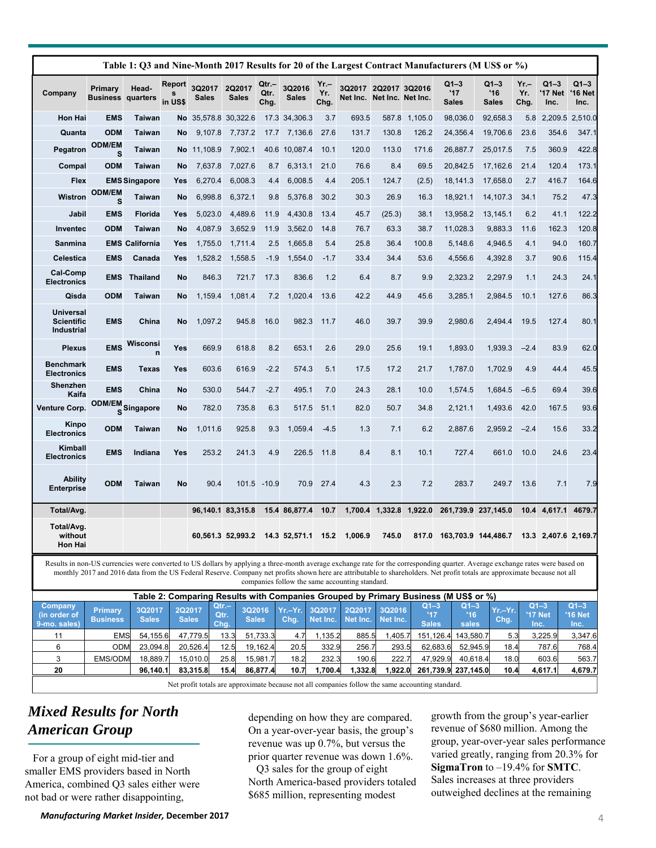| Company                                             | Primary<br><b>Business</b>    | Head-<br>quarters     | Report<br>in US\$ | 3Q2017<br><b>Sales</b> | 2Q2017<br><b>Sales</b> | Qtr.–<br>Qtr.<br>Chg. | 3Q2016<br><b>Sales</b> | $Yr -$<br>Yr.<br>Chg. | 3Q2017 2Q2017 3Q2016<br>Net Inc. Net Inc. Net Inc. |                 |         | $Q1 - 3$<br>'17<br><b>Sales</b> | $Q1-3$<br>'16<br><b>Sales</b> | $Yr -$<br>Yr.<br>Chg. | $Q1-3$<br>'17 Net<br>Inc. | $Q1-3$<br>'16 Net<br>Inc. |
|-----------------------------------------------------|-------------------------------|-----------------------|-------------------|------------------------|------------------------|-----------------------|------------------------|-----------------------|----------------------------------------------------|-----------------|---------|---------------------------------|-------------------------------|-----------------------|---------------------------|---------------------------|
| <b>Hon Hai</b>                                      | <b>EMS</b>                    | <b>Taiwan</b>         |                   | No 35,578.8 30,322.6   |                        |                       | 17.3 34,306.3          | 3.7                   | 693.5                                              | 587.8           | 1.105.0 | 98,036.0                        | 92,658.3                      | 5.8                   | 2,209.5 2,510.0           |                           |
| Quanta                                              | <b>ODM</b>                    | <b>Taiwan</b>         | <b>No</b>         | 9,107.8                | 7,737.2                | 17.7                  | 7,136.6                | 27.6                  | 131.7                                              | 130.8           | 126.2   | 24,356.4                        | 19,706.6                      | 23.6                  | 354.6                     | 347.1                     |
| Pegatron                                            | <b>ODM/EM</b><br>S            | <b>Taiwan</b>         | <b>No</b>         | 11,108.9               | 7,902.1                |                       | 40.6 10,087.4          | 10.1                  | 120.0                                              | 113.0           | 171.6   | 26,887.7                        | 25,017.5                      | 7.5                   | 360.9                     | 422.8                     |
| Compal                                              | <b>ODM</b>                    | <b>Taiwan</b>         | <b>No</b>         | 7,637.8                | 7,027.6                | 8.7                   | 6,313.1                | 21.0                  | 76.6                                               | 8.4             | 69.5    | 20,842.5                        | 17,162.6                      | 21.4                  | 120.4                     | 173.1                     |
| Flex                                                |                               | <b>EMS Singapore</b>  | Yes               | 6,270.4                | 6,008.3                | 4.4                   | 6,008.5                | 4.4                   | 205.1                                              | 124.7           | (2.5)   | 18,141.3                        | 17,658.0                      | 2.7                   | 416.7                     | 164.6                     |
| Wistron                                             | <b>ODM/EM</b><br>S            | <b>Taiwan</b>         | No                | 6,998.8                | 6,372.1                | 9.8                   | 5,376.8                | 30.2                  | 30.3                                               | 26.9            | 16.3    | 18,921.1                        | 14,107.3                      | 34.1                  | 75.2                      | 47.3                      |
| Jabil                                               | <b>EMS</b>                    | Florida               | Yes               | 5,023.0                | 4,489.6                | 11.9                  | 4,430.8                | 13.4                  | 45.7                                               | (25.3)          | 38.1    | 13,958.2                        | 13,145.1                      | 6.2                   | 41.1                      | 122.2                     |
| Inventec                                            | <b>ODM</b>                    | <b>Taiwan</b>         | No                | 4,087.9                | 3,652.9                | 11.9                  | 3,562.0                | 14.8                  | 76.7                                               | 63.3            | 38.7    | 11,028.3                        | 9,883.3                       | 11.6                  | 162.3                     | 120.8                     |
| <b>Sanmina</b>                                      |                               | <b>EMS California</b> | Yes               | 1,755.0                | 1,711.4                | 2.5                   | 1,665.8                | 5.4                   | 25.8                                               | 36.4            | 100.8   | 5,148.6                         | 4,946.5                       | 4.1                   | 94.0                      | 160.7                     |
| <b>Celestica</b>                                    | <b>EMS</b>                    | Canada                | Yes               | 1,528.2                | 1,558.5                | $-1.9$                | 1,554.0                | $-1.7$                | 33.4                                               | 34.4            | 53.6    | 4,556.6                         | 4,392.8                       | 3.7                   | 90.6                      | 115.4                     |
| Cal-Comp<br><b>Electronics</b>                      | <b>EMS</b>                    | <b>Thailand</b>       | <b>No</b>         | 846.3                  | 721.7                  | 17.3                  | 836.6                  | 1.2                   | 6.4                                                | 8.7             | 9.9     | 2,323.2                         | 2,297.9                       | 1.1                   | 24.3                      | 24.1                      |
| Qisda                                               | <b>ODM</b>                    | <b>Taiwan</b>         | No                | 1,159.4                | 1,081.4                | 7.2                   | 1,020.4                | 13.6                  | 42.2                                               | 44.9            | 45.6    | 3,285.1                         | 2,984.5                       | 10.1                  | 127.6                     | 86.3                      |
| <b>Universal</b><br><b>Scientific</b><br>Industrial | <b>EMS</b>                    | China                 | <b>No</b>         | 1,097.2                | 945.8                  | 16.0                  | 982.3                  | 11.7                  | 46.0                                               | 39.7            | 39.9    | 2,980.6                         | 2,494.4                       | 19.5                  | 127.4                     | 80.1                      |
| <b>Plexus</b>                                       | <b>EMS</b>                    | Wisconsi<br>n         | Yes               | 669.9                  | 618.8                  | 8.2                   | 653.1                  | 2.6                   | 29.0                                               | 25.6            | 19.1    | 1,893.0                         | 1,939.3                       | $-2.4$                | 83.9                      | 62.0                      |
| <b>Benchmark</b><br><b>Electronics</b>              | <b>EMS</b>                    | Texas                 | Yes               | 603.6                  | 616.9                  | $-2.2$                | 574.3                  | 5.1                   | 17.5                                               | 17.2            | 21.7    | 1,787.0                         | 1,702.9                       | 4.9                   | 44.4                      | 45.5                      |
| Shenzhen<br>Kaifa                                   | <b>EMS</b>                    | China                 | <b>No</b>         | 530.0                  | 544.7                  | $-2.7$                | 495.1                  | 7.0                   | 24.3                                               | 28.1            | 10.0    | 1,574.5                         | 1,684.5                       | $-6.5$                | 69.4                      | 39.6                      |
| Venture Corp.                                       | <b>ODM/EM</b><br>$\mathbf{s}$ | Singapore             | No                | 782.0                  | 735.8                  | 6.3                   | 517.5                  | 51.1                  | 82.0                                               | 50.7            | 34.8    | 2,121.1                         | 1,493.6                       | 42.0                  | 167.5                     | 93.6                      |
| <b>Kinpo</b><br><b>Electronics</b>                  | <b>ODM</b>                    | <b>Taiwan</b>         | No                | 1,011.6                | 925.8                  | 9.3                   | 1,059.4                | $-4.5$                | 1.3                                                | 7.1             | 6.2     | 2,887.6                         | 2,959.2                       | $-2.4$                | 15.6                      | 33.2                      |
| Kimball<br><b>Electronics</b>                       | <b>EMS</b>                    | Indiana               | Yes               | 253.2                  | 241.3                  | 4.9                   | 226.5                  | 11.8                  | 8.4                                                | 8.1             | 10.1    | 727.4                           | 661.0                         | 10.0                  | 24.6                      | 23.4                      |
| <b>Ability</b><br><b>Enterprise</b>                 | <b>ODM</b>                    | <b>Taiwan</b>         | No                | 90.4                   |                        | 101.5 -10.9           | 70.9                   | 27.4                  | 4.3                                                | 2.3             | 7.2     | 283.7                           | 249.7                         | 13.6                  | 7.1                       | 7.9                       |
| Total/Avg.                                          |                               |                       |                   |                        | 96,140.1 83,315.8      |                       | 15.4 86,877.4          | 10.7                  |                                                    | 1,700.4 1,332.8 | 1,922.0 |                                 | 261,739.9 237,145.0           |                       | 10.4 4,617.1              | 4679.7                    |
| Total/Avg.<br>without<br>Hon Hai                    |                               |                       |                   |                        | 60,561.3 52,993.2      |                       | 14.3 52,571.1          | 15.2                  | 1,006.9                                            | 745.0           | 817.0   | 163,703.9 144,486.7             |                               |                       | 13.3 2,407.6 2,169.7      |                           |

|                                         |                            |                        |                        |                         |                        |      |                                     |                                    |                    | Table 2: Comparing Results with Companies Grouped by Primary Business (M US\$ or %) |                         |                 |                                  |                           |
|-----------------------------------------|----------------------------|------------------------|------------------------|-------------------------|------------------------|------|-------------------------------------|------------------------------------|--------------------|-------------------------------------------------------------------------------------|-------------------------|-----------------|----------------------------------|---------------------------|
| Company<br>(in order of<br>9-mo. sales) | Primary<br><b>Business</b> | 3Q2017<br><b>Sales</b> | 2Q2017<br><b>Sales</b> | $Qtr -$<br>Qtr.<br>Chq. | 3Q2016<br><b>Sales</b> | Chg. | Yr.-Yr. 3Q2017<br>Net Inc. Net Inc. | 2Q2017                             | 3Q2016<br>Net Inc. | $Q1-3$<br><b>Sales</b>                                                              | $Q1 - 3$<br>16<br>sales | Yr.-Yr.<br>Chg. | $Q1-3$<br><b>'17 Net</b><br>Inc. | $Q1-3$<br>'16 Net<br>Inc. |
| 11                                      | <b>EMS</b>                 | 54.155.6               | 47.779.5               | 13.3                    | 51.733.3               | 4.7  | 1.135.2                             | 885.5                              | .405.7             | 151.126.4                                                                           | 143.580.7               | 5.3             | 3,225.9                          | 3,347.6                   |
| 6                                       | ODM                        | 23.094.8               | 20.526.4               | 12.5                    | 19.162.4               | 20.5 | 332.9                               | 256.7                              | 293.5              | 62.683.6                                                                            | 52.945.9                | 18.4            | 787.6                            | 768.4                     |
|                                         | <b>EMS/ODM</b>             | 18.889.7               | 15.010.0               | 25.8l                   | 15.981.7               | 18.2 | 232.3                               | 190.6                              | 222.7              | 47.929.9                                                                            | 40.618.4                | 18.0            | 603.6                            | 563.7                     |
| 20                                      |                            | 96.140.1               | 83.315.8               | 15.4                    | 86.877.4               | 10.7 | 1.700.4                             | 1.332.81                           | 1.922.0            |                                                                                     | 261.739.9 237.145.0     | 10.4            | 4,617.1                          | 4,679.7                   |
|                                         |                            |                        |                        |                         |                        |      | $\sim$ $\sim$ $\sim$ $\sim$ $\sim$  | $\sim$ $\sim$ $\sim$ $\sim$ $\sim$ |                    | .                                                                                   |                         |                 |                                  |                           |

Net profit totals are approximate because not all companies follow the same accounting standard.

# *Mixed Results for North American Group*

For a group of eight mid-tier and smaller EMS providers based in North America, combined Q3 sales either were not bad or were rather disappointing,

depending on how they are compared. On a year-over-year basis, the group's revenue was up 0.7%, but versus the prior quarter revenue was down 1.6%.

Q3 sales for the group of eight North America-based providers totaled \$685 million, representing modest

growth from the group's year-earlier revenue of \$680 million. Among the group, year-over-year sales performance varied greatly, ranging from 20.3% for **SigmaTron** to –19.4% for **SMTC**. Sales increases at three providers outweighed declines at the remaining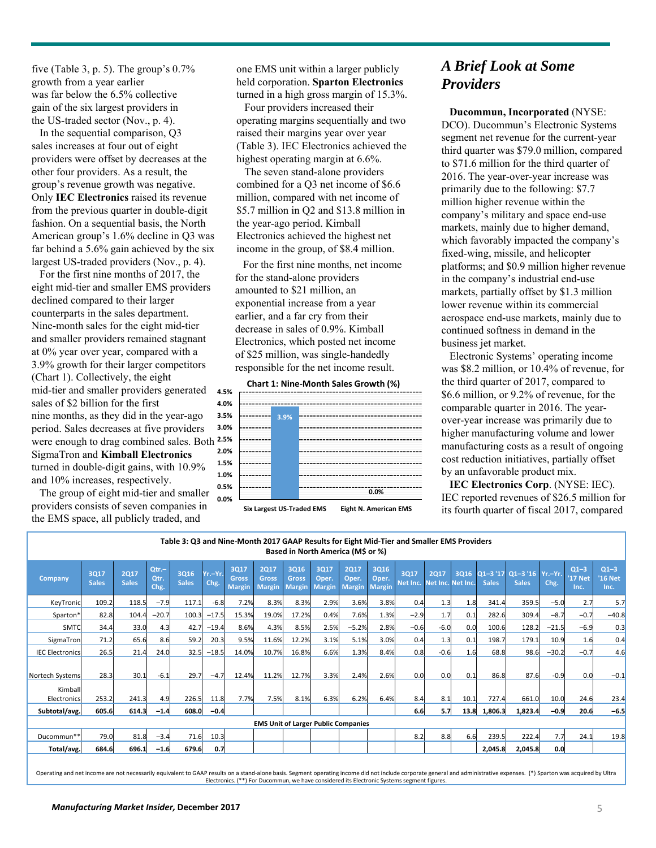five (Table 3, p. 5). The group's 0.7% growth from a year earlier was far below the 6.5% collective gain of the six largest providers in the US-traded sector (Nov., p. 4).

In the sequential comparison, Q3 sales increases at four out of eight providers were offset by decreases at the other four providers. As a result, the group's revenue growth was negative. Only **IEC Electronics** raised its revenue from the previous quarter in double-digit fashion. On a sequential basis, the North American group's 1.6% decline in Q3 was far behind a 5.6% gain achieved by the six largest US-traded providers (Nov., p. 4).

For the first nine months of 2017, the eight mid-tier and smaller EMS providers declined compared to their larger counterparts in the sales department. Nine-month sales for the eight mid-tier and smaller providers remained stagnant at 0% year over year, compared with a 3.9% growth for their larger competitors (Chart 1). Collectively, the eight mid-tier and smaller providers generated sales of \$2 billion for the first nine months, as they did in the year-ago period. Sales decreases at five providers were enough to drag combined sales. Both **2.5%** SigmaTron and **Kimball Electronics** turned in double-digit gains, with 10.9% and 10% increases, respectively.

The group of eight mid-tier and smaller providers consists of seven companies in the EMS space, all publicly traded, and

one EMS unit within a larger publicly held corporation. **Sparton Electronics**  turned in a high gross margin of 15.3%.

Four providers increased their operating margins sequentially and two raised their margins year over year (Table 3). IEC Electronics achieved the highest operating margin at 6.6%.

The seven stand-alone providers combined for a Q3 net income of \$6.6 million, compared with net income of \$5.7 million in Q2 and \$13.8 million in the year-ago period. Kimball Electronics achieved the highest net income in the group, of \$8.4 million.

For the first nine months, net income for the stand-alone providers amounted to \$21 million, an exponential increase from a year earlier, and a far cry from their decrease in sales of 0.9%. Kimball Electronics, which posted net income of \$25 million, was single-handedly responsible for the net income result.

#### **Chart 1: Nine‐Month Sales Growth (%)**



**Six Largest US‐Traded EMS Eight N. American EMS**

#### *A Brief Look at Some Providers*

**Ducommun, Incorporated** (NYSE: DCO). Ducommun's Electronic Systems segment net revenue for the current-year third quarter was \$79.0 million, compared to \$71.6 million for the third quarter of 2016. The year-over-year increase was primarily due to the following: \$7.7 million higher revenue within the company's military and space end-use markets, mainly due to higher demand, which favorably impacted the company's fixed-wing, missile, and helicopter platforms; and \$0.9 million higher revenue in the company's industrial end-use markets, partially offset by \$1.3 million lower revenue within its commercial aerospace end-use markets, mainly due to continued softness in demand in the business jet market.

Electronic Systems' operating income was \$8.2 million, or 10.4% of revenue, for the third quarter of 2017, compared to \$6.6 million, or 9.2% of revenue, for the comparable quarter in 2016. The yearover-year increase was primarily due to higher manufacturing volume and lower manufacturing costs as a result of ongoing cost reduction initiatives, partially offset by an unfavorable product mix.

**IEC Electronics Corp**. (NYSE: IEC). IEC reported revenues of \$26.5 million for its fourth quarter of fiscal 2017, compared

|                        |                                            |                             |                          | Table 3: Q3 and Nine-Month 2017 GAAP Results for Eight Mid-Tier and Smaller EMS Providers |                  |                                              |                                              | Based in North America (M\$ or %)     |                                |                                       |                                |                                    |             |      |              |                                                |         |                                  |                           |
|------------------------|--------------------------------------------|-----------------------------|--------------------------|-------------------------------------------------------------------------------------------|------------------|----------------------------------------------|----------------------------------------------|---------------------------------------|--------------------------------|---------------------------------------|--------------------------------|------------------------------------|-------------|------|--------------|------------------------------------------------|---------|----------------------------------|---------------------------|
| Company                | 3Q17<br><b>Sales</b>                       | <b>2Q17</b><br><b>Sales</b> | $Qtr. -$<br>Qtr.<br>Chg. | 3Q16<br><b>Sales</b>                                                                      | Yr.-Yr.<br>Chg.  | <b>3Q17</b><br><b>Gross</b><br><b>Margin</b> | <b>2Q17</b><br><b>Gross</b><br><b>Margin</b> | 3Q16<br><b>Gross</b><br><b>Margin</b> | 3Q17<br>Oper.<br><b>Margin</b> | <b>2Q17</b><br>Oper.<br><b>Margin</b> | 3Q16<br>Oper.<br><b>Margin</b> | 3Q17<br>Net Inc. Net Inc. Net Inc. | <b>2Q17</b> |      | <b>Sales</b> | 3Q16 Q1-3 '17 Q1-3 '16 Yr.-Yr.<br><b>Sales</b> | Chg.    | $Q1-3$<br><b>'17 Net</b><br>Inc. | $Q1-3$<br>'16 Net<br>Inc. |
| KeyTronic              | 109.2                                      | 118.5                       | $-7.9$                   | 117.1                                                                                     | $-6.8$           | 7.2%                                         | 8.3%                                         | 8.3%                                  | 2.9%                           | 3.6%                                  | 3.8%                           | 0.4                                | 1.3         | 1.8  | 341.4        | 359.5                                          | $-5.0$  | 2.7                              | 5.7                       |
| Sparton*               | 82.8                                       | 104.4                       | $-20.7$                  | 100.3                                                                                     | $-17.5$          | 15.3%                                        | 19.0%                                        | 17.2%                                 | 0.4%                           | 7.6%                                  | 1.3%                           | $-2.9$                             | 1.7         | 0.1  | 282.6        | 309.4                                          | $-8.7$  | $-0.7$                           | $-40.8$                   |
| <b>SMTC</b>            | 34.4                                       | 33.0                        | 4.3                      | 42.7                                                                                      | $-19.4$          | 8.6%                                         | 4.3%                                         | 8.5%                                  | 2.5%                           | $-5.2%$                               | 2.8%                           | $-0.6$                             | $-6.0$      | 0.0  | 100.6        | 128.2                                          | $-21.5$ | $-6.9$                           | 0.3                       |
| SigmaTron              | 71.2                                       | 65.6                        | 8.6                      | 59.2                                                                                      | 20.3             | 9.5%                                         | 11.6%                                        | 12.2%                                 | 3.1%                           | 5.1%                                  | 3.0%                           | 0.4                                | 1.3         | 0.1  | 198.7        | 179.1                                          | 10.9    | 1.6                              | 0.4                       |
| <b>IEC Electronics</b> | 26.5                                       | 21.4                        | 24.0                     | 32.5                                                                                      | $-18.5$          | 14.0%                                        | 10.7%                                        | 16.8%                                 | 6.6%                           | 1.3%                                  | 8.4%                           | 0.8                                | $-0.6$      | 1.6  | 68.8         | 98.6                                           | $-30.2$ | $-0.7$                           | 4.6                       |
| Nortech Systems        | 28.3                                       | 30.1                        | $-6.1$                   | 29.7                                                                                      | $-4.7$           | 12.4%                                        | 11.2%                                        | 12.7%                                 | 3.3%                           | 2.4%                                  | 2.6%                           | 0.0                                | 0.0         | 0.1  | 86.8         | 87.6                                           | $-0.9$  | 0.0                              | $-0.1$                    |
| Kimball<br>Electronics | 253.2                                      | 241.3                       | 4.9                      | 226.5                                                                                     | 11.8             | 7.7%                                         | 7.5%                                         | 8.1%                                  | 6.3%                           | 6.2%                                  | 6.4%                           | 8.4                                | 8.1         | 10.1 | 727.4        | 661.0                                          | 10.0    | 24.6                             | 23.4                      |
| Subtotal/avg.          | 605.6                                      | 614.3                       | $-1.4$                   | 608.0                                                                                     | $-0.4$           |                                              |                                              |                                       |                                |                                       |                                | 6.6                                | 5.7         | 13.8 | 1,806.3      | 1,823.4                                        | $-0.9$  | 20.6                             | $-6.5$                    |
|                        | <b>EMS Unit of Larger Public Companies</b> |                             |                          |                                                                                           |                  |                                              |                                              |                                       |                                |                                       |                                |                                    |             |      |              |                                                |         |                                  |                           |
| Ducommun**             | 79.0                                       | 81.8                        | $-3.4$                   | 71.6                                                                                      | 10.3             |                                              |                                              |                                       |                                |                                       |                                | 8.2                                | 8.8         | 6.6  | 239.5        | 222.4                                          | 7.7     | 24.1                             | 19.8                      |
| Total/avg.             | 684.6                                      | 696.1                       | $-1.6$                   | 679.6                                                                                     | 0.7 <sub>l</sub> |                                              |                                              |                                       |                                |                                       |                                |                                    |             |      | 2,045.8      | 2,045.8                                        | 0.0     |                                  |                           |

Operating and net income are not necessarily equivalent to GAAP results on a stand-alone basis. Segment operating income did not include corporate general and administrative expenses. (\*) Sparton was acquired by Ultra Electronics. (\*\*) For Ducommun, we have considered its Electronic Systems segment figures.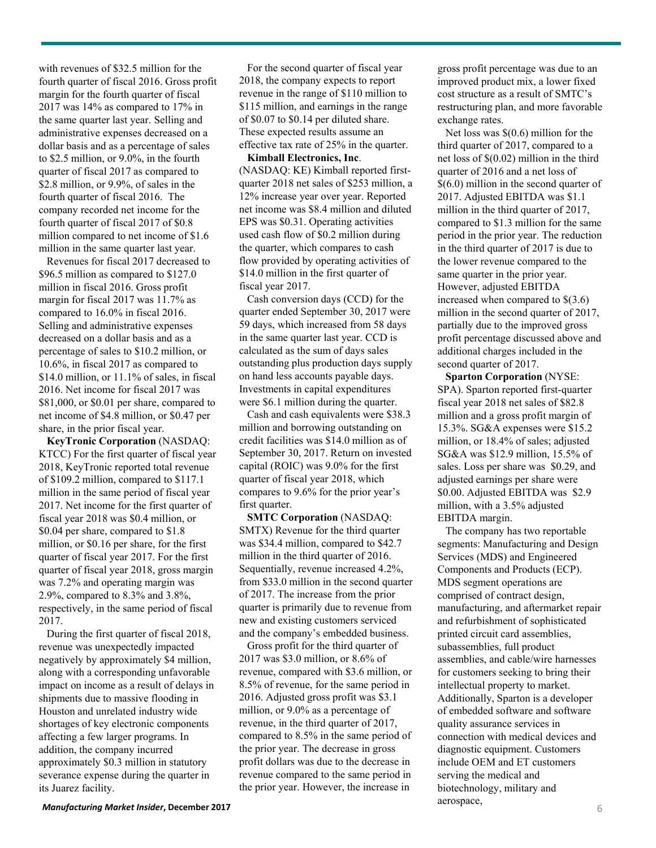with revenues of \$32.5 million for the fourth quarter of fiscal 2016. Gross profit margin for the fourth quarter of fiscal 2017 was 14% as compared to 17% in the same quarter last year. Selling and administrative expenses decreased on a dollar basis and as a percentage of sales to \$2.5 million, or 9.0%, in the fourth quarter of fiscal 2017 as compared to \$2.8 million, or 9.9%, of sales in the fourth quarter of fiscal 2016. The company recorded net income for the fourth quarter of fiscal 2017 of \$0.8 million compared to net income of \$1.6 million in the same quarter last year.

Revenues for fiscal 2017 decreased to \$96.5 million as compared to \$127.0 million in fiscal 2016. Gross profit margin for fiscal 2017 was 11.7% as compared to 16.0% in fiscal 2016. Selling and administrative expenses decreased on a dollar basis and as a percentage of sales to \$10.2 million, or 10.6%, in fiscal 2017 as compared to \$14.0 million, or 11.1% of sales, in fiscal 2016. Net income for fiscal 2017 was \$81,000, or \$0.01 per share, compared to net income of \$4.8 million, or \$0.47 per share, in the prior fiscal year.

**KeyTronic Corporation** (NASDAQ: KTCC) For the first quarter of fiscal year 2018, KeyTronic reported total revenue of \$109.2 million, compared to \$117.1 million in the same period of fiscal year 2017. Net income for the first quarter of fiscal year 2018 was \$0.4 million, or \$0.04 per share, compared to \$1.8 million, or \$0.16 per share, for the first quarter of fiscal year 2017. For the first quarter of fiscal year 2018, gross margin was 7.2% and operating margin was 2.9%, compared to 8.3% and 3.8%, respectively, in the same period of fiscal 2017.

During the first quarter of fiscal 2018, revenue was unexpectedly impacted negatively by approximately \$4 million, along with a corresponding unfavorable impact on income as a result of delays in shipments due to massive flooding in Houston and unrelated industry wide shortages of key electronic components affecting a few larger programs. In addition, the company incurred approximately \$0.3 million in statutory severance expense during the quarter in its Juarez facility.

For the second quarter of fiscal year 2018, the company expects to report revenue in the range of \$110 million to \$115 million, and earnings in the range of \$0.07 to \$0.14 per diluted share. These expected results assume an effective tax rate of 25% in the quarter.

**Kimball Electronics, Inc**. (NASDAQ: KE) Kimball reported firstquarter 2018 net sales of \$253 million, a 12% increase year over year. Reported net income was \$8.4 million and diluted EPS was \$0.31. Operating activities used cash flow of \$0.2 million during the quarter, which compares to cash flow provided by operating activities of \$14.0 million in the first quarter of fiscal year 2017.

Cash conversion days (CCD) for the quarter ended September 30, 2017 were 59 days, which increased from 58 days in the same quarter last year. CCD is calculated as the sum of days sales outstanding plus production days supply on hand less accounts payable days. Investments in capital expenditures were \$6.1 million during the quarter.

Cash and cash equivalents were \$38.3 million and borrowing outstanding on credit facilities was \$14.0 million as of September 30, 2017. Return on invested capital (ROIC) was 9.0% for the first quarter of fiscal year 2018, which compares to 9.6% for the prior year's first quarter.

**SMTC Corporation** (NASDAQ: SMTX) Revenue for the third quarter was \$34.4 million, compared to \$42.7 million in the third quarter of 2016. Sequentially, revenue increased 4.2%, from \$33.0 million in the second quarter of 2017. The increase from the prior quarter is primarily due to revenue from new and existing customers serviced and the company's embedded business.

Gross profit for the third quarter of 2017 was \$3.0 million, or 8.6% of revenue, compared with \$3.6 million, or 8.5% of revenue, for the same period in 2016. Adjusted gross profit was \$3.1 million, or 9.0% as a percentage of revenue, in the third quarter of 2017, compared to 8.5% in the same period of the prior year. The decrease in gross profit dollars was due to the decrease in revenue compared to the same period in the prior year. However, the increase in

gross profit percentage was due to an improved product mix, a lower fixed cost structure as a result of SMTC's restructuring plan, and more favorable exchange rates.

Net loss was \$(0.6) million for the third quarter of 2017, compared to a net loss of \$(0.02) million in the third quarter of 2016 and a net loss of \$(6.0) million in the second quarter of 2017. Adjusted EBITDA was \$1.1 million in the third quarter of 2017, compared to \$1.3 million for the same period in the prior year. The reduction in the third quarter of 2017 is due to the lower revenue compared to the same quarter in the prior year. However, adjusted EBITDA increased when compared to \$(3.6) million in the second quarter of 2017, partially due to the improved gross profit percentage discussed above and additional charges included in the second quarter of 2017.

**Sparton Corporation** (NYSE: SPA). Sparton reported first-quarter fiscal year 2018 net sales of \$82.8 million and a gross profit margin of 15.3%. SG&A expenses were \$15.2 million, or 18.4% of sales; adjusted SG&A was \$12.9 million, 15.5% of sales. Loss per share was \$0.29, and adjusted earnings per share were \$0.00. Adjusted EBITDA was \$2.9 million, with a 3.5% adjusted EBITDA margin.

The company has two reportable segments: Manufacturing and Design Services (MDS) and Engineered Components and Products (ECP). MDS segment operations are comprised of contract design, manufacturing, and aftermarket repair and refurbishment of sophisticated printed circuit card assemblies, subassemblies, full product assemblies, and cable/wire harnesses for customers seeking to bring their intellectual property to market. Additionally, Sparton is a developer of embedded software and software quality assurance services in connection with medical devices and diagnostic equipment. Customers include OEM and ET customers serving the medical and biotechnology, military and aerospace,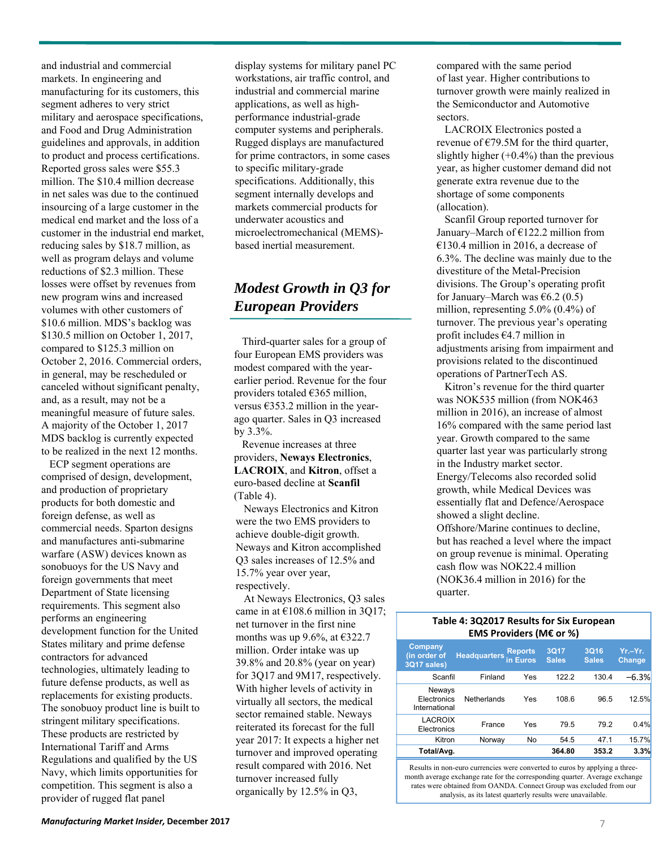and industrial and commercial markets. In engineering and manufacturing for its customers, this segment adheres to very strict military and aerospace specifications, and Food and Drug Administration guidelines and approvals, in addition to product and process certifications. Reported gross sales were \$55.3 million. The \$10.4 million decrease in net sales was due to the continued insourcing of a large customer in the medical end market and the loss of a customer in the industrial end market, reducing sales by \$18.7 million, as well as program delays and volume reductions of \$2.3 million. These losses were offset by revenues from new program wins and increased volumes with other customers of \$10.6 million. MDS's backlog was \$130.5 million on October 1, 2017, compared to \$125.3 million on October 2, 2016. Commercial orders, in general, may be rescheduled or canceled without significant penalty, and, as a result, may not be a meaningful measure of future sales. A majority of the October 1, 2017 MDS backlog is currently expected to be realized in the next 12 months.

ECP segment operations are comprised of design, development, and production of proprietary products for both domestic and foreign defense, as well as commercial needs. Sparton designs and manufactures anti-submarine warfare (ASW) devices known as sonobuoys for the US Navy and foreign governments that meet Department of State licensing requirements. This segment also performs an engineering development function for the United States military and prime defense contractors for advanced technologies, ultimately leading to future defense products, as well as replacements for existing products. The sonobuoy product line is built to stringent military specifications. These products are restricted by International Tariff and Arms Regulations and qualified by the US Navy, which limits opportunities for competition. This segment is also a provider of rugged flat panel

display systems for military panel PC workstations, air traffic control, and industrial and commercial marine applications, as well as highperformance industrial-grade computer systems and peripherals. Rugged displays are manufactured for prime contractors, in some cases to specific military-grade specifications. Additionally, this segment internally develops and markets commercial products for underwater acoustics and microelectromechanical (MEMS) based inertial measurement.

## *Modest Growth in Q3 for European Providers*

Third-quarter sales for a group of four European EMS providers was modest compared with the yearearlier period. Revenue for the four providers totaled €365 million, versus €353.2 million in the yearago quarter. Sales in Q3 increased by 3.3%.

Revenue increases at three providers, **Neways Electronics**, **LACROIX**, and **Kitron**, offset a euro-based decline at **Scanfil** (Table 4).

Neways Electronics and Kitron were the two EMS providers to achieve double-digit growth. Neways and Kitron accomplished Q3 sales increases of 12.5% and 15.7% year over year, respectively.

At Neways Electronics, Q3 sales came in at  $£108.6$  million in 3Q17; net turnover in the first nine months was up 9.6%, at  $\epsilon$ 322.7 million. Order intake was up 39.8% and 20.8% (year on year) for 3Q17 and 9M17, respectively. With higher levels of activity in virtually all sectors, the medical sector remained stable. Neways reiterated its forecast for the full year 2017: It expects a higher net turnover and improved operating result compared with 2016. Net turnover increased fully organically by 12.5% in Q3,

compared with the same period of last year. Higher contributions to turnover growth were mainly realized in the Semiconductor and Automotive sectors.

LACROIX Electronics posted a revenue of  $E$ 79.5M for the third quarter, slightly higher  $(+0.4\%)$  than the previous year, as higher customer demand did not generate extra revenue due to the shortage of some components (allocation).

Scanfil Group reported turnover for January–March of  $E122.2$  million from €130.4 million in 2016, a decrease of 6.3%. The decline was mainly due to the divestiture of the Metal-Precision divisions. The Group's operating profit for January–March was  $\epsilon$ 6.2 (0.5) million, representing 5.0% (0.4%) of turnover. The previous year's operating profit includes €4.7 million in adjustments arising from impairment and provisions related to the discontinued operations of PartnerTech AS.

Kitron's revenue for the third quarter was NOK535 million (from NOK463 million in 2016), an increase of almost 16% compared with the same period last year. Growth compared to the same quarter last year was particularly strong in the Industry market sector. Energy/Telecoms also recorded solid growth, while Medical Devices was essentially flat and Defence/Aerospace showed a slight decline. Offshore/Marine continues to decline, but has reached a level where the impact on group revenue is minimal. Operating cash flow was NOK22.4 million (NOK36.4 million in 2016) for the quarter.

#### **Table 4: 3Q2017 Results for Six European EMS Providers (M€ or %)**

| <b>Company</b><br>(in order of<br>3Q17 sales) | <b>Headquarters</b> | <b>Reports</b><br>in Euros | 3Q17<br><b>Sales</b> | 3Q16<br><b>Sales</b> | $Yr - Yr$ .<br><b>Change</b> |
|-----------------------------------------------|---------------------|----------------------------|----------------------|----------------------|------------------------------|
| Scanfil                                       | Finland             | Yes                        | 122.2                | 130.4                | -6.3%                        |
| Neways<br>Electronics<br>International        | Netherlands         | Yes                        | 108.6                | 96.5                 | 12.5%                        |
| <b>LACROIX</b><br>Electronics                 | France              | Yes                        | 79.5                 | 79.2                 | 0.4%                         |
| Kitron                                        | Norway              | No                         | 54.5                 | 47.1                 | 15.7%                        |
| Total/Avg.                                    |                     |                            | 364.80               | 353.2                | 3.3%                         |

Results in non-euro currencies were converted to euros by applying a threemonth average exchange rate for the corresponding quarter. Average exchange rates were obtained from OANDA. Connect Group was excluded from our analysis, as its latest quarterly results were unavailable.